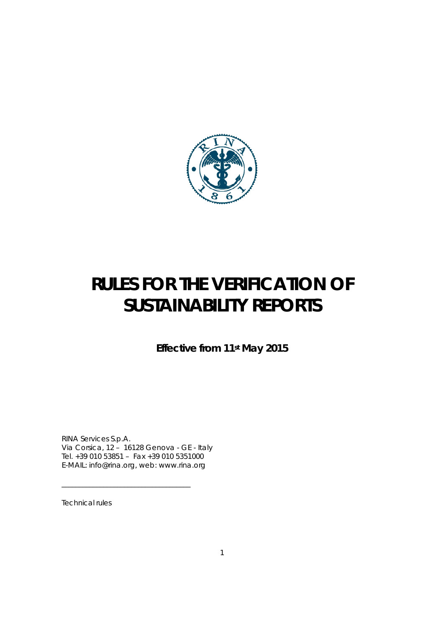

# **RULES FOR THE VERIFICATION OF SUSTAINABILITY REPORTS**

**Effective from 11st May 2015** 

RINA Services S.p.A. Via Corsica, 12 – 16128 Genova - GE - Italy Tel. +39 010 53851 – Fax +39 010 5351000 E-MAIL: info@rina.org, web: www.rina.org

\_\_\_\_\_\_\_\_\_\_\_\_\_\_\_\_\_\_\_\_\_\_\_\_\_\_\_\_\_\_\_\_\_\_\_\_\_

Technical rules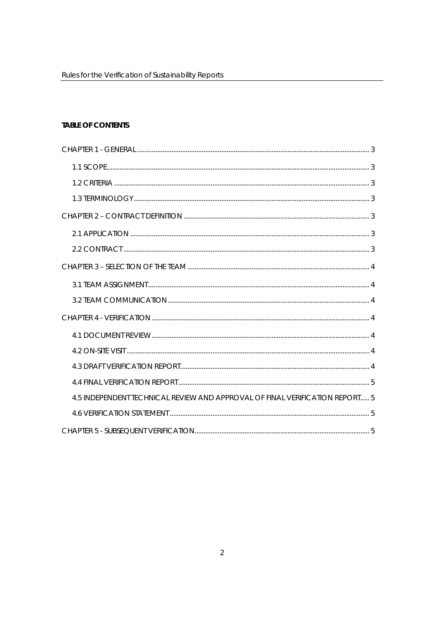# **TABLE OF CONTENTS**

| 4.5 INDEPENDENT TECHNICAL REVIEW AND APPROVAL OF FINAL VERIFICATION REPORT 5 |  |
|------------------------------------------------------------------------------|--|
|                                                                              |  |
|                                                                              |  |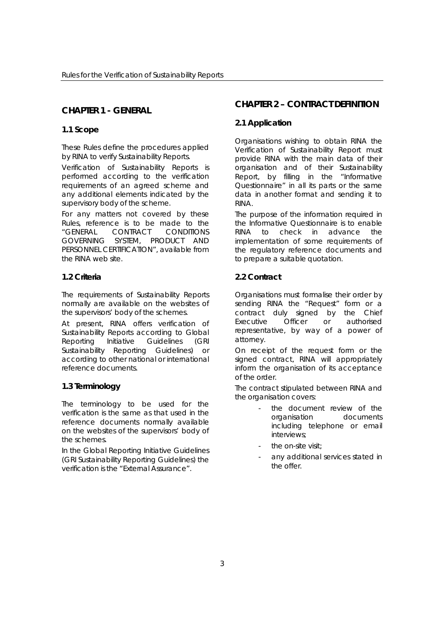## **CHAPTER 1 - GENERAL**

#### **1.1 Scope**

These Rules define the procedures applied by RINA to verify Sustainability Reports.

Verification of Sustainability Reports is performed according to the verification requirements of an agreed scheme and any additional elements indicated by the supervisory body of the scheme.

For any matters not covered by these Rules, reference is to be made to the "GENERAL CONTRACT CONDITIONS GOVERNING SYSTEM, PRODUCT AND PERSONNEL CERTIFICATION", available from the RINA web site.

## **1.2 Criteria**

The requirements of Sustainability Reports normally are available on the websites of the supervisors' body of the schemes.

At present, RINA offers verification of Sustainability Reports according to Global Reporting Initiative Guidelines (GRI Sustainability Reporting Guidelines) or according to other national or international reference documents.

#### **1.3 Terminology**

The terminology to be used for the verification is the same as that used in the reference documents normally available on the websites of the supervisors' body of the schemes.

In the Global Reporting Initiative Guidelines (GRI Sustainability Reporting Guidelines) the verification is the "External Assurance".

# **CHAPTER 2 – CONTRACT DEFINITION**

## **2.1 Application**

Organisations wishing to obtain RINA the Verification of Sustainability Report must provide RINA with the main data of their organisation and of their Sustainability Report, by filling in the "Informative Questionnaire" in all its parts or the same data in another format and sending it to RINA.

The purpose of the information required in the Informative Questionnaire is to enable RINA to check in advance the implementation of some requirements of the regulatory reference documents and to prepare a suitable quotation.

## **2.2 Contract**

Organisations must formalise their order by sending RINA the "Request" form or a contract duly signed by the Chief Executive Officer or authorised representative, by way of a power of attorney.

On receipt of the request form or the signed contract, RINA will appropriately inform the organisation of its acceptance of the order.

The contract stipulated between RINA and the organisation covers:

- the document review of the organisation documents including telephone or email interviews;
- the on-site visit;
- any additional services stated in the offer.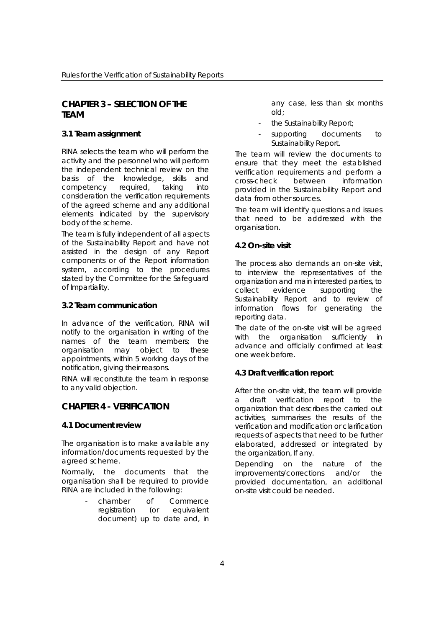## **CHAPTER 3 – SELECTION OF THE TEAM**

### **3.1 Team assignment**

RINA selects the team who will perform the activity and the personnel who will perform the independent technical review on the basis of the knowledge, skills and competency required, taking into consideration the verification requirements of the agreed scheme and any additional elements indicated by the supervisory body of the scheme.

The team is fully independent of all aspects of the Sustainability Report and have not assisted in the design of any Report components or of the Report information system, according to the procedures stated by the Committee for the Safeguard of Impartiality.

### **3.2 Team communication**

In advance of the verification, RINA will notify to the organisation in writing of the names of the team members; the organisation may object to these appointments, within 5 working days of the notification, giving their reasons.

RINA will reconstitute the team in response to any valid objection.

# **CHAPTER 4 - VERIFICATION**

#### **4.1 Document review**

The organisation is to make available any information/documents requested by the agreed scheme.

Normally, the documents that the organisation shall be required to provide RINA are included in the following:

> chamber of Commerce registration (or equivalent document) up to date and, in

any case, less than six months old;

- the Sustainability Report;
- supporting documents to Sustainability Report.

The team will review the documents to ensure that they meet the established verification requirements and perform a cross-check between information provided in the Sustainability Report and data from other sources.

The team will identify questions and issues that need to be addressed with the organisation.

#### **4.2 On-site visit**

The process also demands an on-site visit, to interview the representatives of the organization and main interested parties, to collect evidence supporting the Sustainability Report and to review of information flows for generating the reporting data.

The date of the on-site visit will be agreed with the organisation sufficiently in advance and officially confirmed at least one week before.

## **4.3 Draft verification report**

After the on-site visit, the team will provide a draft verification report to the organization that describes the carried out activities, summarises the results of the verification and modification or clarification requests of aspects that need to be further elaborated, addressed or integrated by the organization, If any.

Depending on the nature of the improvements/corrections and/or the provided documentation, an additional on-site visit could be needed.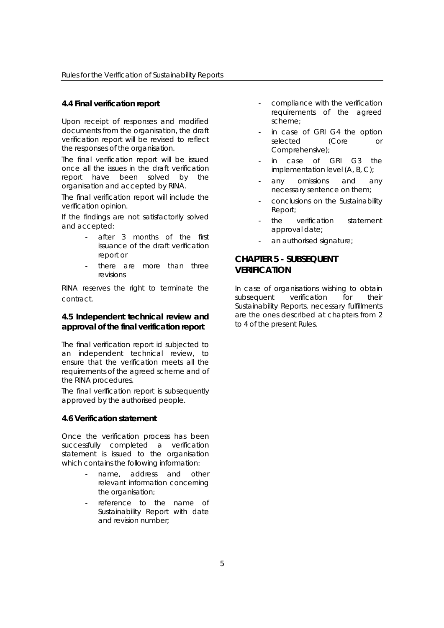#### **4.4 Final verification report**

Upon receipt of responses and modified documents from the organisation, the draft verification report will be revised to reflect the responses of the organisation.

The final verification report will be issued once all the issues in the draft verification report have been solved by the organisation and accepted by RINA.

The final verification report will include the verification opinion.

If the findings are not satisfactorily solved and accepted:

- after 3 months of the first issuance of the draft verification report or
- there are more than three revisions

RINA reserves the right to terminate the contract.

## **4.5 Independent technical review and approval of the final verification report**

The final verification report id subjected to an independent technical review, to ensure that the verification meets all the requirements of the agreed scheme and of the RINA procedures.

The final verification report is subsequently approved by the authorised people.

#### **4.6 Verification statement**

Once the verification process has been successfully completed a verification statement is issued to the organisation which contains the following information:

- name, address and other relevant information concerning the organisation;
- reference to the name of Sustainability Report with date and revision number;
- compliance with the verification requirements of the agreed scheme;
- in case of GRI G4 the option selected (Core or Comprehensive);
- in case of GRI G3 the implementation level (A, B, C);
- any omissions and any necessary sentence on them;
- conclusions on the Sustainability Report;
- the verification statement approval date;
- an authorised signature;

# **CHAPTER 5 - SUBSEQUENT VERIFICATION**

In case of organisations wishing to obtain subsequent verification for their Sustainability Reports, necessary fulfillments are the ones described at chapters from 2 to 4 of the present Rules.